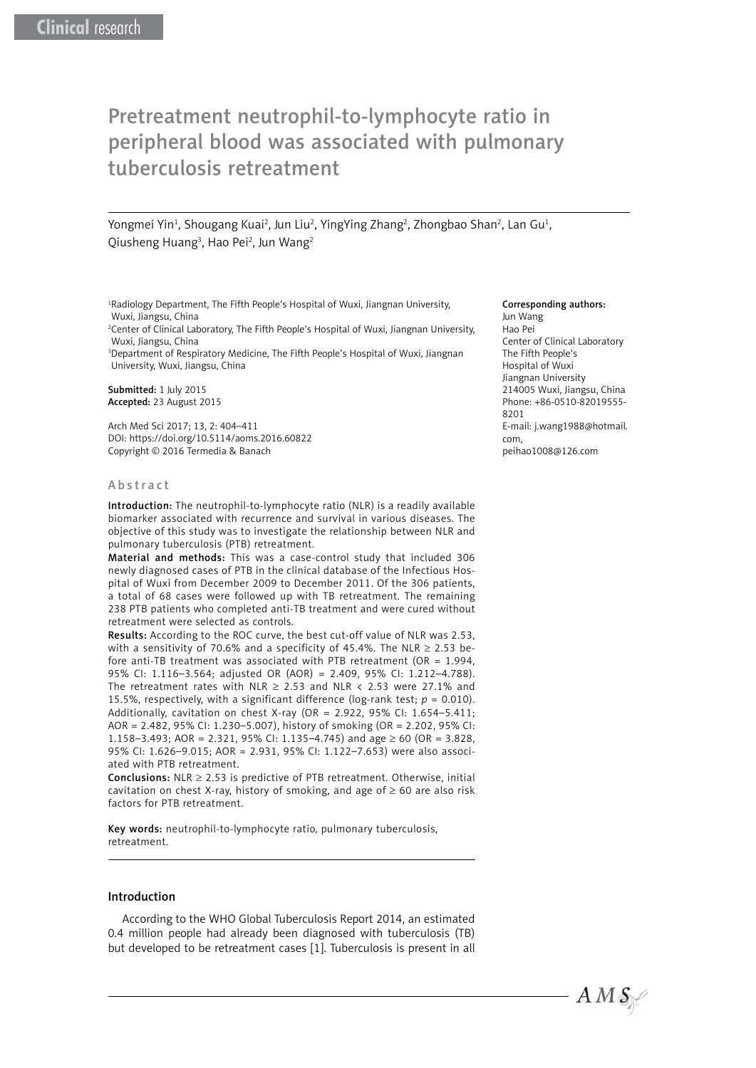# Pretreatment neutrophil-to-lymphocyte ratio in peripheral blood was associated with pulmonary tuberculosis retreatment

Yongmei Yin<sup>1</sup>, Shougang Kuai<sup>2</sup>, Jun Liu<sup>2</sup>, YingYing Zhang<sup>2</sup>, Zhongbao Shan<sup>2</sup>, Lan Gu<sup>1</sup>, Qiusheng Huang<sup>3</sup>, Hao Pei<sup>2</sup>, Jun Wang<sup>2</sup>

1 Radiology Department, The Fifth People's Hospital of Wuxi, Jiangnan University, Wuxi, Jiangsu, China

2 Center of Clinical Laboratory, The Fifth People's Hospital of Wuxi, Jiangnan University, Wuxi, Jiangsu, China

<sup>3</sup>Department of Respiratory Medicine, The Fifth People's Hospital of Wuxi, Jiangnan University, Wuxi, Jiangsu, China

Submitted: 1 July 2015 Accepted: 23 August 2015

Arch Med Sci 2017; 13, 2: 404–411 DOI: https://doi.org/10.5114/aoms.2016.60822 Copyright © 2016 Termedia & Banach

#### Abstract

Introduction: The neutrophil-to-lymphocyte ratio (NLR) is a readily available biomarker associated with recurrence and survival in various diseases. The objective of this study was to investigate the relationship between NLR and pulmonary tuberculosis (PTB) retreatment.

Material and methods: This was a case-control study that included 306 newly diagnosed cases of PTB in the clinical database of the Infectious Hospital of Wuxi from December 2009 to December 2011. Of the 306 patients, a total of 68 cases were followed up with TB retreatment. The remaining 238 PTB patients who completed anti-TB treatment and were cured without retreatment were selected as controls.

Results: According to the ROC curve, the best cut-off value of NLR was 2.53, with a sensitivity of 70.6% and a specificity of 45.4%. The NLR  $\geq$  2.53 before anti-TB treatment was associated with PTB retreatment (OR =  $1.994$ , 95% CI: 1.116–3.564; adjusted OR (AOR) = 2.409, 95% CI: 1.212–4.788). The retreatment rates with NLR  $\geq$  2.53 and NLR < 2.53 were 27.1% and 15.5%, respectively, with a significant difference (log-rank test;  $p = 0.010$ ). Additionally, cavitation on chest X-ray (OR = 2.922, 95% CI: 1.654–5.411; AOR = 2.482, 95% CI: 1.230–5.007), history of smoking (OR = 2.202, 95% CI: 1.158–3.493; AOR = 2.321, 95% CI: 1.135–4.745) and age  $\geq 60$  (OR = 3.828, 95% CI: 1.626–9.015; AOR = 2.931, 95% CI: 1.122–7.653) were also associated with PTB retreatment.

**Conclusions:** NLR  $\geq$  2.53 is predictive of PTB retreatment. Otherwise, initial cavitation on chest X-ray, history of smoking, and age of  $\geq 60$  are also risk factors for PTB retreatment.

Key words: neutrophil-to-lymphocyte ratio, pulmonary tuberculosis, retreatment.

#### Introduction

According to the WHO Global Tuberculosis Report 2014, an estimated 0.4 million people had already been diagnosed with tuberculosis (TB) but developed to be retreatment cases [1]. Tuberculosis is present in all

#### Corresponding authors:

Jun Wang Hao Pei Center of Clinical Laboratory The Fifth People's Hospital of Wuxi Jiangnan University 214005 Wuxi, Jiangsu, China Phone: +86-0510-82019555- 8201 E-mail: [j.wang1988@hotmail.](mailto:j.wang1988@hotmail.com) [com](mailto:j.wang1988@hotmail.com), peihao1008@126.com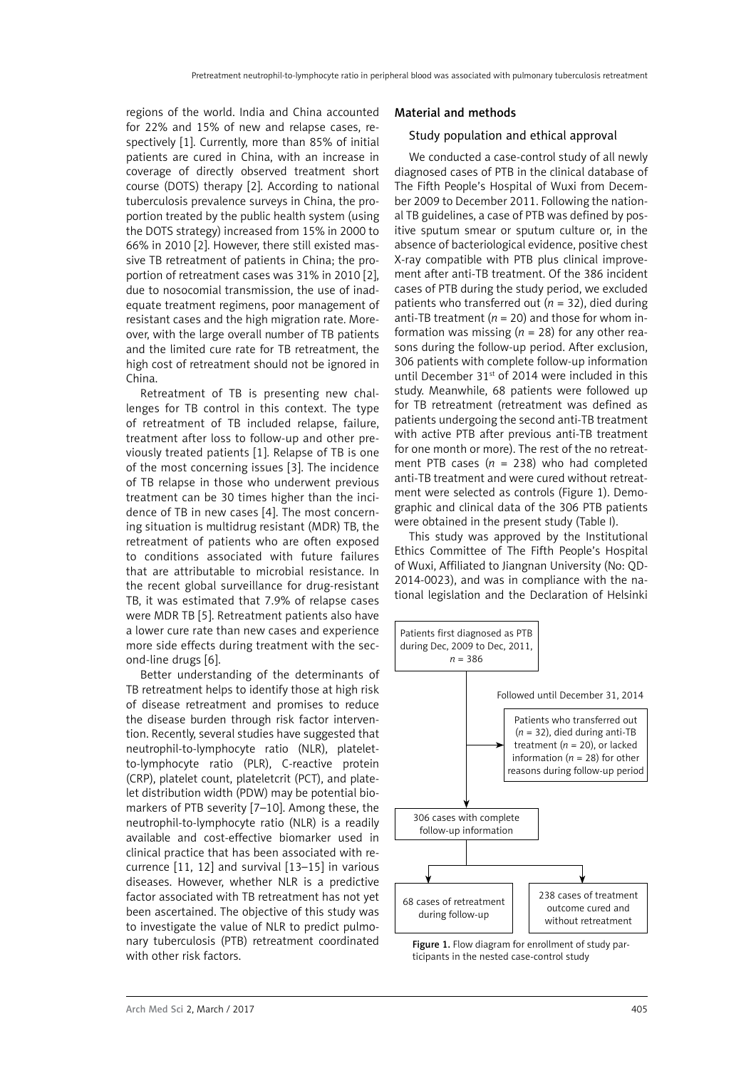regions of the world. India and China accounted for 22% and 15% of new and relapse cases, respectively [1]. Currently, more than 85% of initial patients are cured in China, with an increase in coverage of directly observed treatment short course (DOTS) therapy [2]. According to national tuberculosis prevalence surveys in China, the proportion treated by the public health system (using the DOTS strategy) increased from 15% in 2000 to 66% in 2010 [2]. However, there still existed massive TB retreatment of patients in China; the proportion of retreatment cases was 31% in 2010 [2], due to nosocomial transmission, the use of inadequate treatment regimens, poor management of resistant cases and the high migration rate. Moreover, with the large overall number of TB patients and the limited cure rate for TB retreatment, the high cost of retreatment should not be ignored in China.

Retreatment of TB is presenting new challenges for TB control in this context. The type of retreatment of TB included relapse, failure, treatment after loss to follow-up and other previously treated patients [1]. Relapse of TB is one of the most concerning issues [3]. The incidence of TB relapse in those who underwent previous treatment can be 30 times higher than the incidence of TB in new cases [4]. The most concerning situation is multidrug resistant (MDR) TB, the retreatment of patients who are often exposed to conditions associated with future failures that are attributable to microbial resistance. In the recent global surveillance for drug-resistant TB, it was estimated that 7.9% of relapse cases were MDR TB [5]. Retreatment patients also have a lower cure rate than new cases and experience more side effects during treatment with the second-line drugs [6].

Better understanding of the determinants of TB retreatment helps to identify those at high risk of disease retreatment and promises to reduce the disease burden through risk factor intervention. Recently, several studies have suggested that neutrophil-to-lymphocyte ratio (NLR), plateletto-lymphocyte ratio (PLR), C-reactive protein (CRP), platelet count, plateletcrit (PCT), and platelet distribution width (PDW) may be potential biomarkers of PTB severity [7–10]. Among these, the neutrophil-to-lymphocyte ratio (NLR) is a readily available and cost-effective biomarker used in clinical practice that has been associated with recurrence [11, 12] and survival [13–15] in various diseases. However, whether NLR is a predictive factor associated with TB retreatment has not yet been ascertained. The objective of this study was to investigate the value of NLR to predict pulmonary tuberculosis (PTB) retreatment coordinated with other risk factors.

#### Material and methods

#### Study population and ethical approval

We conducted a case-control study of all newly diagnosed cases of PTB in the clinical database of The Fifth People's Hospital of Wuxi from December 2009 to December 2011. Following the national TB guidelines, a case of PTB was defined by positive sputum smear or sputum culture or, in the absence of bacteriological evidence, positive chest X-ray compatible with PTB plus clinical improvement after anti-TB treatment. Of the 386 incident cases of PTB during the study period, we excluded patients who transferred out  $(n = 32)$ , died during anti-TB treatment ( $n = 20$ ) and those for whom information was missing ( $n = 28$ ) for any other reasons during the follow-up period. After exclusion, 306 patients with complete follow-up information until December 31<sup>st</sup> of 2014 were included in this study. Meanwhile, 68 patients were followed up for TB retreatment (retreatment was defined as patients undergoing the second anti-TB treatment with active PTB after previous anti-TB treatment for one month or more). The rest of the no retreatment PTB cases (*n* = 238) who had completed anti-TB treatment and were cured without retreatment were selected as controls (Figure 1). Demographic and clinical data of the 306 PTB patients were obtained in the present study (Table I).

This study was approved by the Institutional Ethics Committee of The Fifth People's Hospital of Wuxi, Affiliated to Jiangnan University (No: QD-2014-0023), and was in compliance with the national legislation and the Declaration of Helsinki



Figure 1. Flow diagram for enrollment of study participants in the nested case-control study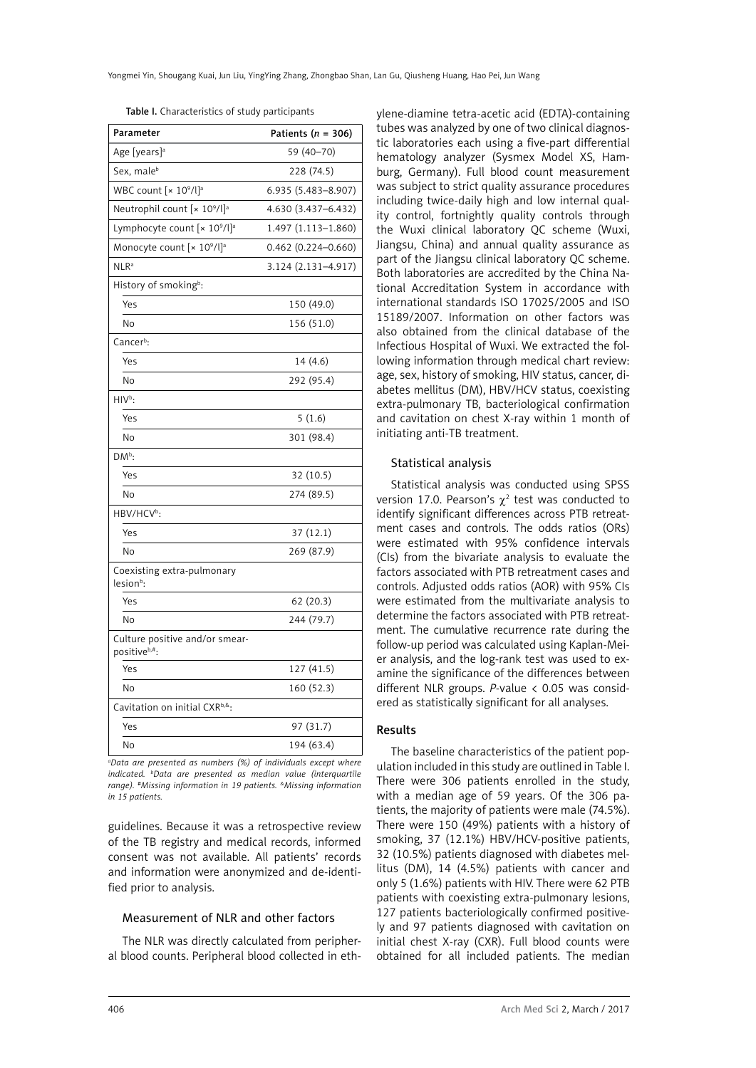| Table I. Characteristics of study participants |  |  |
|------------------------------------------------|--|--|
|------------------------------------------------|--|--|

| Parameter                                           | Patients ( $n = 306$ ) |
|-----------------------------------------------------|------------------------|
| Age [years] <sup>a</sup>                            | 59 (40-70)             |
| Sex, male <sup>b</sup>                              | 228 (74.5)             |
| WBC count [x 10 <sup>9</sup> /l] <sup>a</sup>       | 6.935 (5.483-8.907)    |
| Neutrophil count [x 109/l] <sup>a</sup>             | 4.630 (3.437-6.432)    |
| Lymphocyte count [x 109/l] <sup>a</sup>             | 1.497 (1.113-1.860)    |
| Monocyte count [x 109/l] <sup>a</sup>               | $0.462$ (0.224-0.660)  |
| $NLR^a$                                             | 3.124 (2.131-4.917)    |
| History of smoking <sup>b</sup> :                   |                        |
| Yes                                                 | 150 (49.0)             |
| No                                                  | 156 (51.0)             |
| Cancer <sup>b</sup> :                               |                        |
| Yes                                                 | 14 (4.6)               |
| No                                                  | 292 (95.4)             |
| $HIVb$ :                                            |                        |
| Yes                                                 | 5(1.6)                 |
| No                                                  | 301 (98.4)             |
| DM <sup>b</sup> :                                   |                        |
| Yes                                                 | 32 (10.5)              |
| No                                                  | 274 (89.5)             |
| HBV/HCV <sup>b</sup> :                              |                        |
| Yes                                                 | 37 (12.1)              |
| <b>No</b>                                           | 269 (87.9)             |
| Coexisting extra-pulmonary<br>lesion <sup>b</sup> : |                        |
| Yes                                                 | 62(20.3)               |
| No                                                  | 244 (79.7)             |
| Culture positive and/or smear-<br>positiveb,#:      |                        |
| Yes                                                 | 127 (41.5)             |
| No                                                  | 160 (52.3)             |
| Cavitation on initial CXR <sup>b,&amp;</sup> :      |                        |
| Yes                                                 | 97 (31.7)              |
| <b>No</b>                                           | 194 (63.4)             |

*a Data are presented as numbers (%) of individuals except where indicated. b Data are presented as median value (interquartile range).* #*Missing information in 19 patients. &Missing information in 15 patients.*

guidelines. Because it was a retrospective review of the TB registry and medical records, informed consent was not available. All patients' records and information were anonymized and de-identified prior to analysis.

#### Measurement of NLR and other factors

The NLR was directly calculated from peripheral blood counts. Peripheral blood collected in ethylene-diamine tetra-acetic acid (EDTA)-containing tubes was analyzed by one of two clinical diagnostic laboratories each using a five-part differential hematology analyzer (Sysmex Model XS, Hamburg, Germany). Full blood count measurement was subject to strict quality assurance procedures including twice-daily high and low internal quality control, fortnightly quality controls through the Wuxi clinical laboratory QC scheme (Wuxi, Jiangsu, China) and annual quality assurance as part of the Jiangsu clinical laboratory QC scheme. Both laboratories are accredited by the China National Accreditation System in accordance with international standards ISO 17025/2005 and ISO 15189/2007. Information on other factors was also obtained from the clinical database of the Infectious Hospital of Wuxi. We extracted the following information through medical chart review: age, sex, history of smoking, HIV status, cancer, diabetes mellitus (DM), HBV/HCV status, coexisting extra-pulmonary TB, bacteriological confirmation and cavitation on chest X-ray within 1 month of initiating anti-TB treatment.

### Statistical analysis

Statistical analysis was conducted using SPSS version 17.0. Pearson's  $\chi^2$  test was conducted to identify significant differences across PTB retreatment cases and controls. The odds ratios (ORs) were estimated with 95% confidence intervals (CIs) from the bivariate analysis to evaluate the factors associated with PTB retreatment cases and controls. Adjusted odds ratios (AOR) with 95% CIs were estimated from the multivariate analysis to determine the factors associated with PTB retreatment. The cumulative recurrence rate during the follow-up period was calculated using Kaplan-Meier analysis, and the log-rank test was used to examine the significance of the differences between different NLR groups. *P*-value < 0.05 was considered as statistically significant for all analyses.

## Results

The baseline characteristics of the patient population included in this study are outlined in Table I. There were 306 patients enrolled in the study, with a median age of 59 years. Of the 306 patients, the majority of patients were male (74.5%). There were 150 (49%) patients with a history of smoking, 37 (12.1%) HBV/HCV-positive patients, 32 (10.5%) patients diagnosed with diabetes mellitus (DM), 14 (4.5%) patients with cancer and only 5 (1.6%) patients with HIV. There were 62 PTB patients with coexisting extra-pulmonary lesions, 127 patients bacteriologically confirmed positively and 97 patients diagnosed with cavitation on initial chest X-ray (CXR). Full blood counts were obtained for all included patients. The median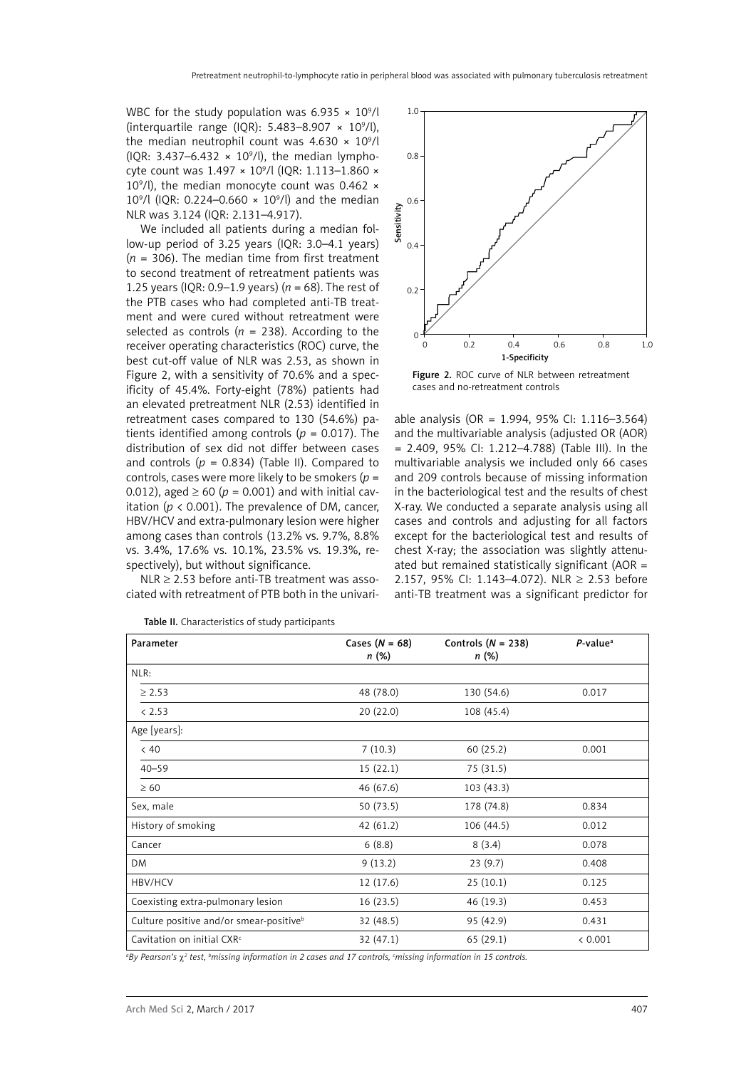WBC for the study population was  $6.935 \times 10^9$ /l (interquartile range (IQR):  $5.483-8.907 \times 10^9$ /l), the median neutrophil count was  $4.630 \times 10^9$ /l (IQR: 3.437–6.432  $\times$  10<sup>9</sup>/l), the median lymphocyte count was 1.497 × 10<sup>9</sup>/l (IQR: 1.113–1.860 × 109 /l), the median monocyte count was 0.462 × 10<sup>9</sup>/l (IQR: 0.224–0.660  $\times$  10<sup>9</sup>/l) and the median NLR was 3.124 (IQR: 2.131–4.917).

We included all patients during a median follow-up period of 3.25 years (IQR: 3.0–4.1 years)  $(n = 306)$ . The median time from first treatment to second treatment of retreatment patients was 1.25 years (IQR: 0.9–1.9 years) (*n* = 68). The rest of the PTB cases who had completed anti-TB treatment and were cured without retreatment were selected as controls  $(n = 238)$ . According to the receiver operating characteristics (ROC) curve, the best cut-off value of NLR was 2.53, as shown in Figure 2, with a sensitivity of 70.6% and a specificity of 45.4%. Forty-eight (78%) patients had an elevated pretreatment NLR (2.53) identified in retreatment cases compared to 130 (54.6%) patients identified among controls ( $p = 0.017$ ). The distribution of sex did not differ between cases and controls  $(p = 0.834)$  (Table II). Compared to controls, cases were more likely to be smokers (*p* = 0.012), aged  $\geq 60$  ( $p = 0.001$ ) and with initial cavitation ( $p < 0.001$ ). The prevalence of DM, cancer, HBV/HCV and extra-pulmonary lesion were higher among cases than controls (13.2% vs. 9.7%, 8.8% vs. 3.4%, 17.6% vs. 10.1%, 23.5% vs. 19.3%, respectively), but without significance.

 $NLR \geq 2.53$  before anti-TB treatment was associated with retreatment of PTB both in the univari-



Figure 2. ROC curve of NLR between retreatment cases and no-retreatment controls

able analysis (OR = 1.994, 95% CI: 1.116–3.564) and the multivariable analysis (adjusted OR (AOR) = 2.409, 95% CI: 1.212–4.788) (Table III). In the multivariable analysis we included only 66 cases and 209 controls because of missing information in the bacteriological test and the results of chest X-ray. We conducted a separate analysis using all cases and controls and adjusting for all factors except for the bacteriological test and results of chest X-ray; the association was slightly attenuated but remained statistically significant (AOR = 2.157, 95% CI: 1.143–4.072). NLR ≥ 2.53 before anti-TB treatment was a significant predictor for

| Parameter                                           | Cases $(N = 68)$<br>n (%) | Controls ( $N = 238$ )<br>n (%) | $P$ -value <sup>a</sup> |
|-----------------------------------------------------|---------------------------|---------------------------------|-------------------------|
| NLR:                                                |                           |                                 |                         |
| $\geq 2.53$                                         | 48 (78.0)                 | 130 (54.6)                      | 0.017                   |
| < 2.53                                              | 20(22.0)                  | 108 (45.4)                      |                         |
| Age [years]:                                        |                           |                                 |                         |
| < 40                                                | 7(10.3)                   | 60 (25.2)                       | 0.001                   |
| $40 - 59$                                           | 15(22.1)                  | 75 (31.5)                       |                         |
| $\geq 60$                                           | 46 (67.6)                 | 103(43.3)                       |                         |
| Sex, male                                           | 50 (73.5)                 | 178 (74.8)                      | 0.834                   |
| History of smoking                                  | 42(61.2)                  | 106 (44.5)                      | 0.012                   |
| Cancer                                              | 6(8.8)                    | 8(3.4)                          | 0.078                   |
| <b>DM</b>                                           | 9(13.2)                   | 23(9.7)                         | 0.408                   |
| HBV/HCV                                             | 12 (17.6)                 | 25(10.1)                        | 0.125                   |
| Coexisting extra-pulmonary lesion                   | 16(23.5)                  | 46 (19.3)                       | 0.453                   |
| Culture positive and/or smear-positive <sup>b</sup> | 32 (48.5)                 | 95 (42.9)                       | 0.431                   |
| Cavitation on initial CXR <sup>c</sup>              | 32(47.1)                  | 65(29.1)                        | < 0.001                 |

Table II. Characteristics of study participants

*a By Pearson's* c*<sup>2</sup> test, b missing information in 2 cases and 17 controls, c missing information in 15 controls.*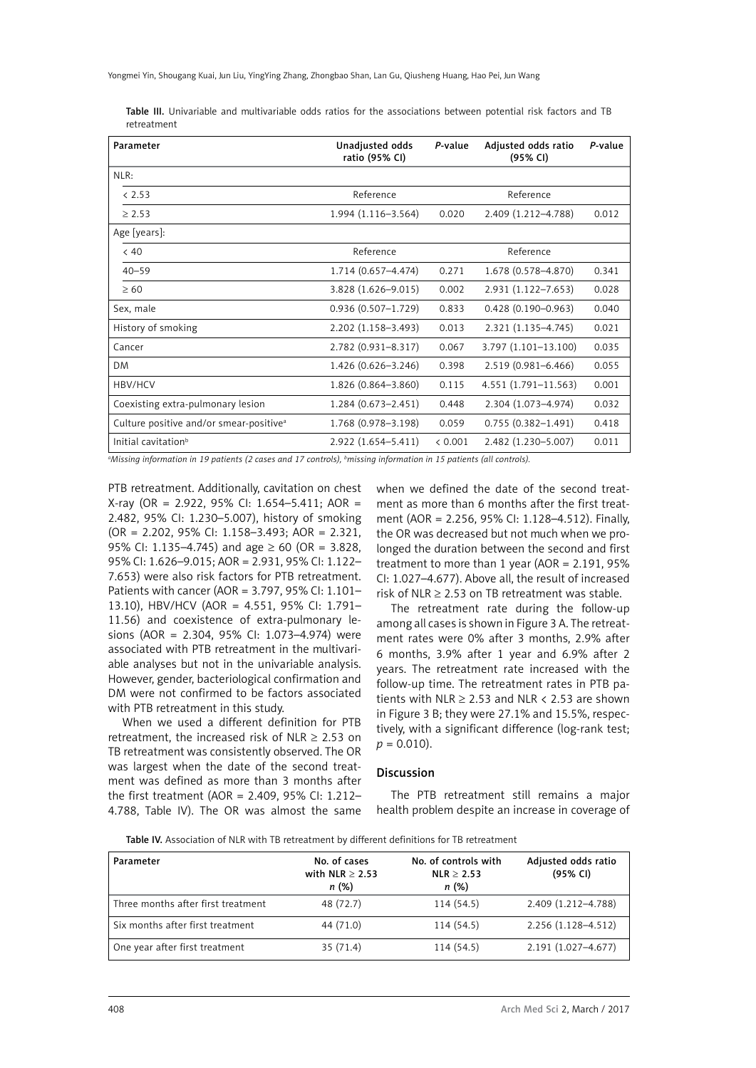|             |  | <b>Table III.</b> Univariable and multivariable odds ratios for the associations between potential risk factors and TB |  |  |  |  |  |  |
|-------------|--|------------------------------------------------------------------------------------------------------------------------|--|--|--|--|--|--|
| retreatment |  |                                                                                                                        |  |  |  |  |  |  |

| Parameter                                           | Unadjusted odds<br>ratio (95% CI) | P-value | Adjusted odds ratio<br>(95% CI) | P-value |
|-----------------------------------------------------|-----------------------------------|---------|---------------------------------|---------|
| NLR:                                                |                                   |         |                                 |         |
| & 2.53                                              | Reference                         |         | Reference                       |         |
| > 2.53                                              | $1.994(1.116 - 3.564)$            | 0.020   | 0.012                           |         |
| Age [years]:                                        |                                   |         |                                 |         |
| < 40                                                | Reference                         |         | Reference                       |         |
| $40 - 59$                                           | 1.714 (0.657-4.474)               | 0.271   | 1.678 (0.578-4.870)             | 0.341   |
| >60                                                 | 3.828 (1.626-9.015)<br>0.002      |         | 2.931 (1.122-7.653)             | 0.028   |
| Sex, male                                           | $0.936(0.507 - 1.729)$            | 0.833   | $0.428(0.190 - 0.963)$          | 0.040   |
| History of smoking                                  | 2.202 (1.158-3.493)               | 0.013   | $2.321(1.135 - 4.745)$          | 0.021   |
| Cancer                                              | 2.782 (0.931-8.317)               | 0.067   | 3.797 (1.101-13.100)            | 0.035   |
| <b>DM</b>                                           | 1.426 (0.626-3.246)               | 0.398   | 2.519 (0.981-6.466)             | 0.055   |
| <b>HBV/HCV</b>                                      | 1.826 (0.864-3.860)               | 0.115   | $4.551(1.791 - 11.563)$         | 0.001   |
| Coexisting extra-pulmonary lesion                   | $1.284(0.673 - 2.451)$            | 0.448   | 2.304 (1.073-4.974)             | 0.032   |
| Culture positive and/or smear-positive <sup>a</sup> | 1.768 (0.978-3.198)               | 0.059   | $0.755(0.382 - 1.491)$          | 0.418   |
| Initial cavitation <sup>b</sup>                     | $2.922(1.654 - 5.411)$            | < 0.001 | 2.482 (1.230-5.007)             | 0.011   |

*a Missing information in 19 patients (2 cases and 17 controls), b missing information in 15 patients (all controls).*

PTB retreatment. Additionally, cavitation on chest X-ray (OR = 2.922, 95% CI: 1.654–5.411; AOR = 2.482, 95% CI: 1.230–5.007), history of smoking (OR = 2.202, 95% CI: 1.158–3.493; AOR = 2.321, 95% CI: 1.135–4.745) and age  $\geq 60$  (OR = 3.828, 95% CI: 1.626–9.015; AOR = 2.931, 95% CI: 1.122– 7.653) were also risk factors for PTB retreatment. Patients with cancer (AOR = 3.797, 95% CI: 1.101– 13.10), HBV/HCV (AOR = 4.551, 95% CI: 1.791– 11.56) and coexistence of extra-pulmonary lesions (AOR = 2.304, 95% CI: 1.073–4.974) were associated with PTB retreatment in the multivariable analyses but not in the univariable analysis. However, gender, bacteriological confirmation and DM were not confirmed to be factors associated with PTB retreatment in this study.

When we used a different definition for PTB retreatment, the increased risk of NLR  $\geq$  2.53 on TB retreatment was consistently observed. The OR was largest when the date of the second treatment was defined as more than 3 months after the first treatment (AOR = 2.409, 95% CI: 1.212– 4.788, Table IV). The OR was almost the same when we defined the date of the second treatment as more than 6 months after the first treatment (AOR = 2.256, 95% CI: 1.128–4.512). Finally, the OR was decreased but not much when we prolonged the duration between the second and first treatment to more than 1 year (AOR = 2.191, 95% CI: 1.027–4.677). Above all, the result of increased risk of NLR  $\geq$  2.53 on TB retreatment was stable.

The retreatment rate during the follow-up among all cases is shown in Figure 3 A. The retreatment rates were 0% after 3 months, 2.9% after 6 months, 3.9% after 1 year and 6.9% after 2 years. The retreatment rate increased with the follow-up time. The retreatment rates in PTB patients with NLR  $\geq$  2.53 and NLR < 2.53 are shown in Figure 3 B; they were 27.1% and 15.5%, respectively, with a significant difference (log-rank test;  $p = 0.010$ .

### Discussion

The PTB retreatment still remains a major health problem despite an increase in coverage of

Table IV. Association of NLR with TB retreatment by different definitions for TB retreatment

| Parameter                          | No. of cases<br>with $NLR > 2.53$<br>n (%) | No. of controls with<br>NLR > 2.53<br>n(%) | Adjusted odds ratio<br>(95% CI) |
|------------------------------------|--------------------------------------------|--------------------------------------------|---------------------------------|
| Three months after first treatment | 48 (72.7)                                  | 114 (54.5)                                 | 2.409 (1.212-4.788)             |
| Six months after first treatment   | 44 (71.0)                                  | 114 (54.5)                                 | 2.256 (1.128-4.512)             |
| One year after first treatment     | 35(71.4)                                   | 114 (54.5)                                 | 2.191 (1.027-4.677)             |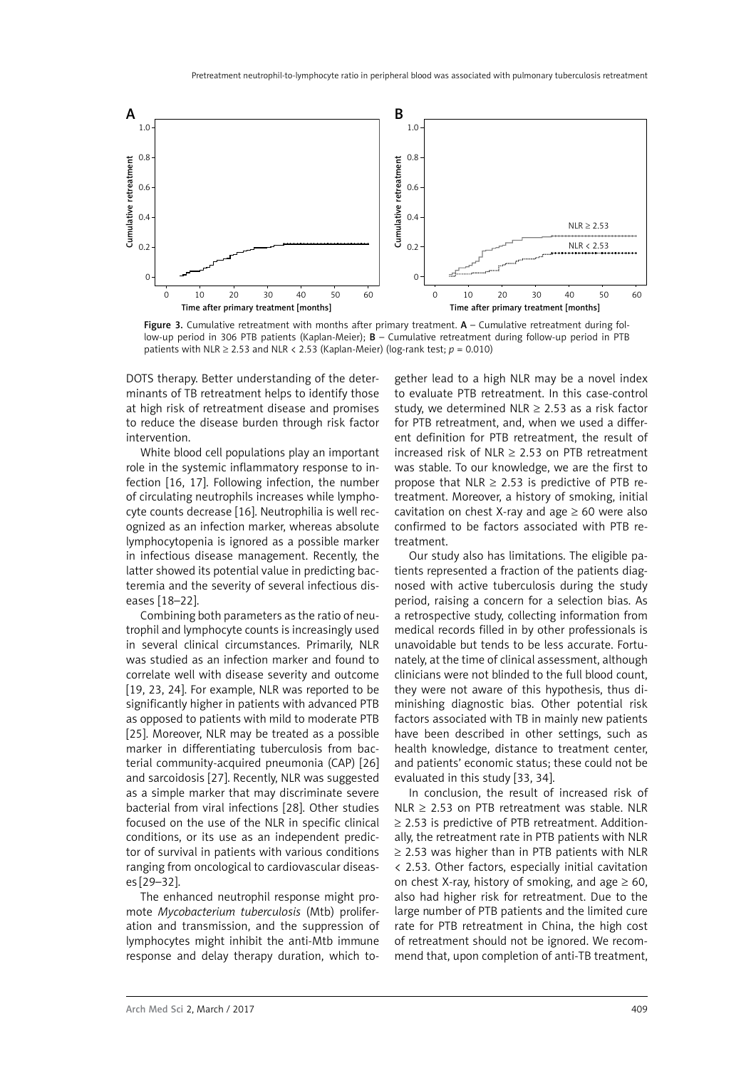

Figure 3. Cumulative retreatment with months after primary treatment.  $A -$  Cumulative retreatment during follow-up period in 306 PTB patients (Kaplan-Meier); B – Cumulative retreatment during follow-up period in PTB patients with NLR  $\geq$  2.53 and NLR < 2.53 (Kaplan-Meier) (log-rank test;  $p = 0.010$ )

DOTS therapy. Better understanding of the determinants of TB retreatment helps to identify those at high risk of retreatment disease and promises to reduce the disease burden through risk factor intervention.

White blood cell populations play an important role in the systemic inflammatory response to infection [16, 17]. Following infection, the number of circulating neutrophils increases while lymphocyte counts decrease [16]. Neutrophilia is well recognized as an infection marker, whereas absolute lymphocytopenia is ignored as a possible marker in infectious disease management. Recently, the latter showed its potential value in predicting bacteremia and the severity of several infectious diseases [18–22].

Combining both parameters as the ratio of neutrophil and lymphocyte counts is increasingly used in several clinical circumstances. Primarily, NLR was studied as an infection marker and found to correlate well with disease severity and outcome [19, 23, 24]. For example, NLR was reported to be significantly higher in patients with advanced PTB as opposed to patients with mild to moderate PTB [25]. Moreover, NLR may be treated as a possible marker in differentiating tuberculosis from bacterial community-acquired pneumonia (CAP) [26] and sarcoidosis [27]. Recently, NLR was suggested as a simple marker that may discriminate severe bacterial from viral infections [28]. Other studies focused on the use of the NLR in specific clinical conditions, or its use as an independent predictor of survival in patients with various conditions ranging from oncological to cardiovascular diseases [29–32].

The enhanced neutrophil response might promote *Mycobacterium tuberculosis* (Mtb) proliferation and transmission, and the suppression of lymphocytes might inhibit the anti-Mtb immune response and delay therapy duration, which to-

gether lead to a high NLR may be a novel index to evaluate PTB retreatment. In this case-control study, we determined NLR  $\geq$  2.53 as a risk factor for PTB retreatment, and, when we used a different definition for PTB retreatment, the result of increased risk of NLR  $\geq$  2.53 on PTB retreatment was stable. To our knowledge, we are the first to propose that NLR  $\geq$  2.53 is predictive of PTB retreatment. Moreover, a history of smoking, initial cavitation on chest X-ray and age  $\geq 60$  were also confirmed to be factors associated with PTB retreatment.

Our study also has limitations. The eligible patients represented a fraction of the patients diagnosed with active tuberculosis during the study period, raising a concern for a selection bias. As a retrospective study, collecting information from medical records filled in by other professionals is unavoidable but tends to be less accurate. Fortunately, at the time of clinical assessment, although clinicians were not blinded to the full blood count, they were not aware of this hypothesis, thus diminishing diagnostic bias. Other potential risk factors associated with TB in mainly new patients have been described in other settings, such as health knowledge, distance to treatment center, and patients' economic status; these could not be evaluated in this study [33, 34].

In conclusion, the result of increased risk of NLR  $\geq$  2.53 on PTB retreatment was stable. NLR ≥ 2.53 is predictive of PTB retreatment. Additionally, the retreatment rate in PTB patients with NLR  $\geq$  2.53 was higher than in PTB patients with NLR < 2.53. Other factors, especially initial cavitation on chest X-ray, history of smoking, and age  $\geq 60$ , also had higher risk for retreatment. Due to the large number of PTB patients and the limited cure rate for PTB retreatment in China, the high cost of retreatment should not be ignored. We recommend that, upon completion of anti-TB treatment,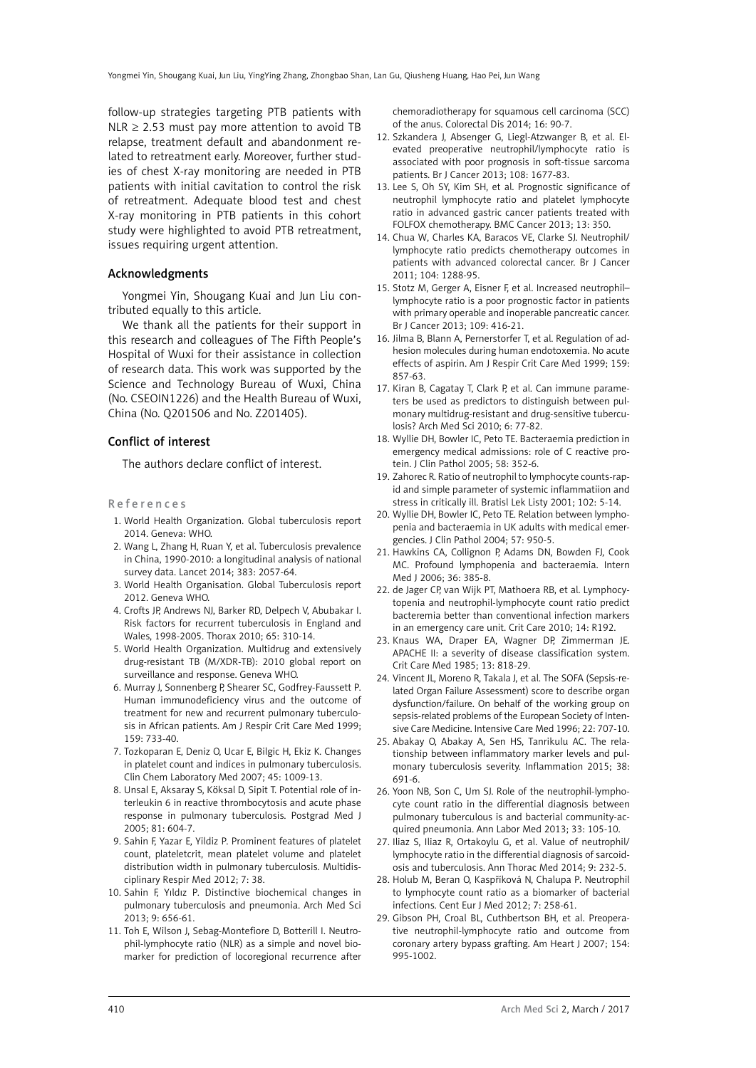follow-up strategies targeting PTB patients with NLR  $\geq$  2.53 must pay more attention to avoid TB relapse, treatment default and abandonment related to retreatment early. Moreover, further studies of chest X-ray monitoring are needed in PTB patients with initial cavitation to control the risk of retreatment. Adequate blood test and chest X-ray monitoring in PTB patients in this cohort study were highlighted to avoid PTB retreatment, issues requiring urgent attention.

## Acknowledgments

Yongmei Yin, Shougang Kuai and Jun Liu contributed equally to this article.

We thank all the patients for their support in this research and colleagues of The Fifth People's Hospital of Wuxi for their assistance in collection of research data. This work was supported by the Science and Technology Bureau of Wuxi, China (No. CSEOIN1226) and the Health Bureau of Wuxi, China (No. Q201506 and No. Z201405).

## Conflict of interest

The authors declare conflict of interest.

#### References

- 1. World Health Organization. Global tuberculosis report 2014. Geneva: WHO.
- 2. Wang L, Zhang H, Ruan Y, et al. Tuberculosis prevalence in China, 1990-2010: a longitudinal analysis of national survey data. Lancet 2014; 383: 2057-64.
- 3. World Health Organisation. Global Tuberculosis report 2012. Geneva WHO.
- 4. Crofts JP, Andrews NJ, Barker RD, Delpech V, Abubakar I. Risk factors for recurrent tuberculosis in England and Wales, 1998-2005. Thorax 2010; 65: 310-14.
- 5. World Health Organization. Multidrug and extensively drug-resistant TB (M/XDR-TB): 2010 global report on surveillance and response. Geneva WHO.
- 6. Murray J, Sonnenberg P, Shearer SC, Godfrey-Faussett P. Human immunodeficiency virus and the outcome of treatment for new and recurrent pulmonary tuberculosis in African patients. Am J Respir Crit Care Med 1999; 159: 733-40.
- 7. Tozkoparan E, Deniz O, Ucar E, Bilgic H, Ekiz K. Changes in platelet count and indices in pulmonary tuberculosis. Clin Chem Laboratory Med 2007; 45: 1009-13.
- 8. Unsal E, Aksaray S, Köksal D, Sipit T. Potential role of interleukin 6 in reactive thrombocytosis and acute phase response in pulmonary tuberculosis. Postgrad Med J 2005; 81: 604-7.
- 9. Sahin F, Yazar E, Yildiz P. Prominent features of platelet count, plateletcrit, mean platelet volume and platelet distribution width in pulmonary tuberculosis. Multidisciplinary Respir Med 2012; 7: 38.
- 10. [Sahin F](https://vpn.njmu.edu.cn/pubmed/,DanaInfo=www.ncbi.nlm.nih.gov+?term=Sahin F%5BAuthor%5D&cauthor=true&cauthor_uid=24049525), [Yıldız P](https://vpn.njmu.edu.cn/pubmed/,DanaInfo=www.ncbi.nlm.nih.gov+?term=Y%C4%B1ld%C4%B1z P%5BAuthor%5D&cauthor=true&cauthor_uid=24049525). Distinctive biochemical changes in pulmonary tuberculosis and pneumonia. Arch Med Sci 2013; 9: 656-61.
- 11. Toh E, Wilson J, Sebag-Montefiore D, Botterill I. Neutrophil-lymphocyte ratio (NLR) as a simple and novel biomarker for prediction of locoregional recurrence after

chemoradiotherapy for squamous cell carcinoma (SCC) of the anus. Colorectal Dis 2014; 16: 90-7.

- 12. Szkandera J, Absenger G, Liegl-Atzwanger B, et al. Elevated preoperative neutrophil/lymphocyte ratio is associated with poor prognosis in soft-tissue sarcoma patients. Br J Cancer 2013; 108: 1677-83.
- 13. Lee S, Oh SY, Kim SH, et al. Prognostic significance of neutrophil lymphocyte ratio and platelet lymphocyte ratio in advanced gastric cancer patients treated with FOLFOX chemotherapy. BMC Cancer 2013; 13: 350.
- 14. Chua W, Charles KA, Baracos VE, Clarke SJ. Neutrophil/ lymphocyte ratio predicts chemotherapy outcomes in patients with advanced colorectal cancer. Br J Cancer 2011; 104: 1288-95.
- 15. Stotz M, Gerger A, Eisner F, et al. Increased neutrophil– lymphocyte ratio is a poor prognostic factor in patients with primary operable and inoperable pancreatic cancer. Br J Cancer 2013; 109: 416-21.
- 16. Jilma B, Blann A, Pernerstorfer T, et al. Regulation of adhesion molecules during human endotoxemia. No acute effects of aspirin. Am J Respir Crit Care Med 1999; 159: 857-63.
- 17. Kiran B, Cagatay T, Clark P, et al. Can immune parameters be used as predictors to distinguish between pulmonary multidrug-resistant and drug-sensitive tuberculosis? Arch Med Sci 2010; 6: 77-82.
- 18. Wyllie DH, Bowler IC, Peto TE. Bacteraemia prediction in emergency medical admissions: role of C reactive protein. J Clin Pathol 2005; 58: 352-6.
- 19. Zahorec R. Ratio of neutrophil to lymphocyte counts-rapid and simple parameter of systemic inflammatiion and stress in critically ill. Bratisl Lek Listy 2001; 102: 5-14.
- 20. Wyllie DH, Bowler IC, Peto TE. Relation between lymphopenia and bacteraemia in UK adults with medical emergencies. J Clin Pathol 2004; 57: 950-5.
- 21. Hawkins CA, Collignon P, Adams DN, Bowden FJ, Cook MC. Profound lymphopenia and bacteraemia. Intern Med J 2006; 36: 385-8.
- 22. de Jager CP, van Wijk PT, Mathoera RB, et al. Lymphocytopenia and neutrophil-lymphocyte count ratio predict bacteremia better than conventional infection markers in an emergency care unit. Crit Care 2010; 14: R192.
- 23. Knaus WA, Draper EA, Wagner DP, Zimmerman JE. APACHE II: a severity of disease classification system. Crit Care Med 1985; 13: 818-29.
- 24. Vincent JL, Moreno R, Takala J, et al. The SOFA (Sepsis-related Organ Failure Assessment) score to describe organ dysfunction/failure. On behalf of the working group on sepsis-related problems of the European Society of Intensive Care Medicine. Intensive Care Med 1996; 22: 707-10.
- 25. [Abakay O](http://www.ncbi.nlm.nih.gov/pubmed/?term=Abakay O%5BAuthor%5D&cauthor=true&cauthor_uid=25028104), [Abakay A,](http://www.ncbi.nlm.nih.gov/pubmed/?term=Abakay A%5BAuthor%5D&cauthor=true&cauthor_uid=25028104) [Sen HS,](http://www.ncbi.nlm.nih.gov/pubmed/?term=Sen HS%5BAuthor%5D&cauthor=true&cauthor_uid=25028104) [Tanrikulu AC](http://www.ncbi.nlm.nih.gov/pubmed/?term=Tanrikulu AC%5BAuthor%5D&cauthor=true&cauthor_uid=25028104). The relationship between inflammatory marker levels and pulmonary tuberculosis severity. Inflammation 2015; 38: 691-6.
- 26. Yoon NB, Son C, Um SJ. Role of the neutrophil-lymphocyte count ratio in the differential diagnosis between pulmonary tuberculous is and bacterial community-acquired pneumonia. Ann Labor Med 2013; 33: 105-10.
- 27. Iliaz S, Iliaz R, Ortakoylu G, et al. Value of neutrophil/ lymphocyte ratio in the differential diagnosis of sarcoidosis and tuberculosis. Ann Thorac Med 2014; 9: 232-5.
- 28. Holub M, Beran O, Kaspříková N, Chalupa P. Neutrophil to lymphocyte count ratio as a biomarker of bacterial infections. Cent Eur J Med 2012; 7: 258-61.
- 29. Gibson PH, Croal BL, Cuthbertson BH, et al. Preoperative neutrophil-lymphocyte ratio and outcome from coronary artery bypass grafting. Am Heart J 2007; 154: 995-1002.